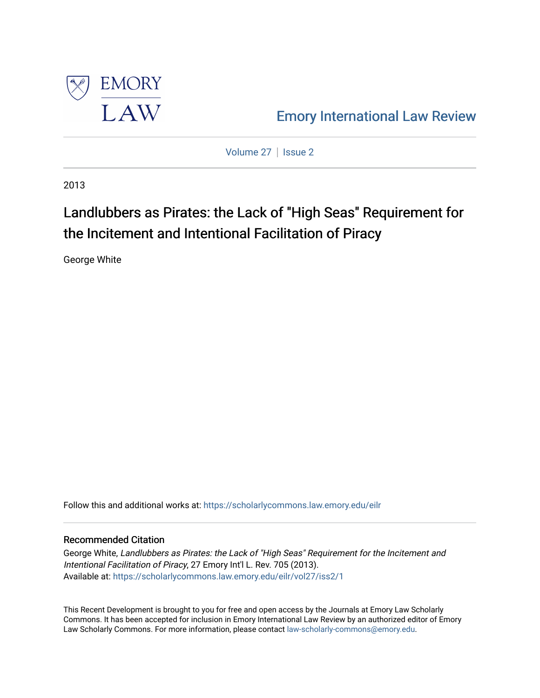

[Emory International Law Review](https://scholarlycommons.law.emory.edu/eilr) 

[Volume 27](https://scholarlycommons.law.emory.edu/eilr/vol27) | [Issue 2](https://scholarlycommons.law.emory.edu/eilr/vol27/iss2)

2013

# Landlubbers as Pirates: the Lack of "High Seas" Requirement for the Incitement and Intentional Facilitation of Piracy

George White

Follow this and additional works at: [https://scholarlycommons.law.emory.edu/eilr](https://scholarlycommons.law.emory.edu/eilr?utm_source=scholarlycommons.law.emory.edu%2Feilr%2Fvol27%2Fiss2%2F1&utm_medium=PDF&utm_campaign=PDFCoverPages)

## Recommended Citation

George White, Landlubbers as Pirates: the Lack of "High Seas" Requirement for the Incitement and Intentional Facilitation of Piracy, 27 Emory Int'l L. Rev. 705 (2013). Available at: [https://scholarlycommons.law.emory.edu/eilr/vol27/iss2/1](https://scholarlycommons.law.emory.edu/eilr/vol27/iss2/1?utm_source=scholarlycommons.law.emory.edu%2Feilr%2Fvol27%2Fiss2%2F1&utm_medium=PDF&utm_campaign=PDFCoverPages) 

This Recent Development is brought to you for free and open access by the Journals at Emory Law Scholarly Commons. It has been accepted for inclusion in Emory International Law Review by an authorized editor of Emory Law Scholarly Commons. For more information, please contact [law-scholarly-commons@emory.edu.](mailto:law-scholarly-commons@emory.edu)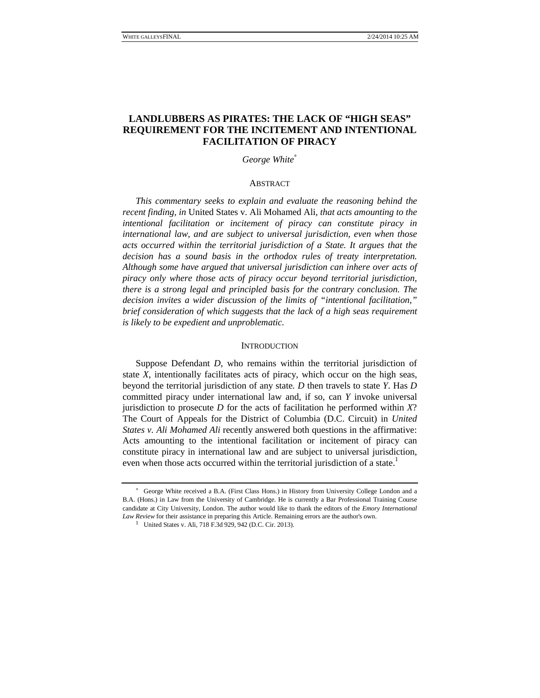## **LANDLUBBERS AS PIRATES: THE LACK OF "HIGH SEAS" REQUIREMENT FOR THE INCITEMENT AND INTENTIONAL FACILITATION OF PIRACY**

*George White*<sup>∗</sup>

#### **ABSTRACT**

*This commentary seeks to explain and evaluate the reasoning behind the recent finding, in* United States v. Ali Mohamed Ali, *that acts amounting to the intentional facilitation or incitement of piracy can constitute piracy in international law, and are subject to universal jurisdiction, even when those acts occurred within the territorial jurisdiction of a State. It argues that the decision has a sound basis in the orthodox rules of treaty interpretation. Although some have argued that universal jurisdiction can inhere over acts of piracy only where those acts of piracy occur beyond territorial jurisdiction, there is a strong legal and principled basis for the contrary conclusion. The decision invites a wider discussion of the limits of "intentional facilitation," brief consideration of which suggests that the lack of a high seas requirement is likely to be expedient and unproblematic.*

#### **INTRODUCTION**

Suppose Defendant *D*, who remains within the territorial jurisdiction of state *X*, intentionally facilitates acts of piracy, which occur on the high seas, beyond the territorial jurisdiction of any state*. D* then travels to state *Y*. Has *D* committed piracy under international law and, if so, can *Y* invoke universal jurisdiction to prosecute *D* for the acts of facilitation he performed within *X*? The Court of Appeals for the District of Columbia (D.C. Circuit) in *United States v. Ali Mohamed Ali* recently answered both questions in the affirmative: Acts amounting to the intentional facilitation or incitement of piracy can constitute piracy in international law and are subject to universal jurisdiction, even when those acts occurred within the territorial jurisdiction of a state.<sup>1</sup>

<sup>∗</sup> George White received a B.A. (First Class Hons.) in History from University College London and a B.A. (Hons.) in Law from the University of Cambridge. He is currently a Bar Professional Training Course candidate at City University, London. The author would like to thank the editors of the *Emory International Law Review* for their assistance in preparing this Article. Remaining errors are the author's own.

<sup>&</sup>lt;sup>1</sup> United States v. Ali, 718 F.3d 929, 942 (D.C. Cir. 2013).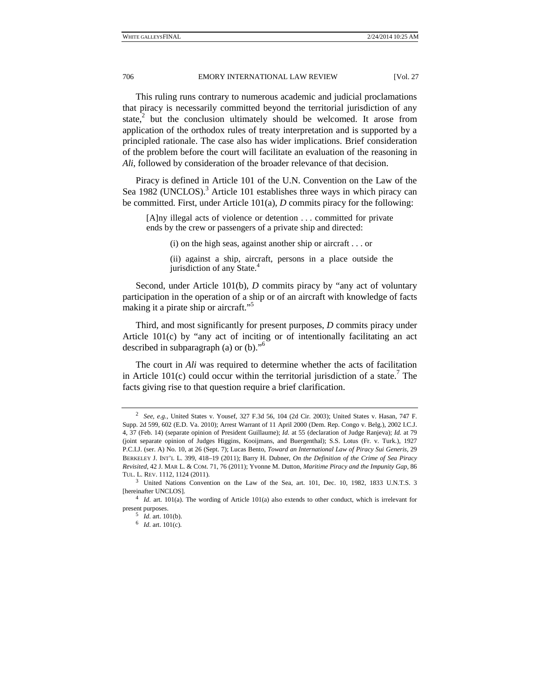This ruling runs contrary to numerous academic and judicial proclamations that piracy is necessarily committed beyond the territorial jurisdiction of any state, $\overline{a}$  but the conclusion ultimately should be welcomed. It arose from application of the orthodox rules of treaty interpretation and is supported by a principled rationale. The case also has wider implications. Brief consideration of the problem before the court will facilitate an evaluation of the reasoning in *Ali*, followed by consideration of the broader relevance of that decision.

Piracy is defined in Article 101 of the U.N. Convention on the Law of the Sea 1982 (UNCLOS).<sup>3</sup> Article 101 establishes three ways in which piracy can be committed. First, under Article 101(a), *D* commits piracy for the following:

[A]ny illegal acts of violence or detention . . . committed for private ends by the crew or passengers of a private ship and directed:

(i) on the high seas, against another ship or aircraft . . . or

(ii) against a ship, aircraft, persons in a place outside the jurisdiction of any State.<sup>4</sup>

Second, under Article 101(b), *D* commits piracy by "any act of voluntary participation in the operation of a ship or of an aircraft with knowledge of facts making it a pirate ship or aircraft."<sup>5</sup>

Third, and most significantly for present purposes, *D* commits piracy under Article 101(c) by "any act of inciting or of intentionally facilitating an act described in subparagraph (a) or (b)."6

The court in *Ali* was required to determine whether the acts of facilitation in Article  $101(c)$  could occur within the territorial jurisdiction of a state.<sup>7</sup> The facts giving rise to that question require a brief clarification.

<sup>2</sup> *See, e.g.*, United States v. Yousef, 327 F.3d 56, 104 (2d Cir. 2003); United States v. Hasan, 747 F. Supp. 2d 599, 602 (E.D. Va. 2010); Arrest Warrant of 11 April 2000 (Dem. Rep. Congo v. Belg.), 2002 I.C.J. 4, 37 (Feb. 14) (separate opinion of President Guillaume); *Id.* at 55 (declaration of Judge Ranjeva); *Id.* at 79 (joint separate opinion of Judges Higgins, Kooijmans, and Buergenthal); S.S. Lotus (Fr. v. Turk.), 1927 P.C.I.J. (ser. A) No. 10, at 26 (Sept. 7); Lucas Bento, *Toward an International Law of Piracy Sui Generis*, 29 BERKELEY J. INT'L L. 399, 418–19 (2011); Barry H. Dubner, *On the Definition of the Crime of Sea Piracy Revisited*, 42 J. MAR L. & COM. 71, 76 (2011); Yvonne M. Dutton, *Maritime Piracy and the Impunity Gap,* 86 TUL. L. REV. 1112, 1124 (2011). 3

<sup>&</sup>lt;sup>3</sup> United Nations Convention on the Law of the Sea, art. 101, Dec. 10, 1982, 1833 U.N.T.S. 3 [hereinafter UNCLOS]. 4 *Id.* art. 101(a). The wording of Article 101(a) also extends to other conduct, which is irrelevant for

present purposes.<br><sup>5</sup> *Id.* art. 101(b).

<sup>6</sup> *Id.* art. 101(c).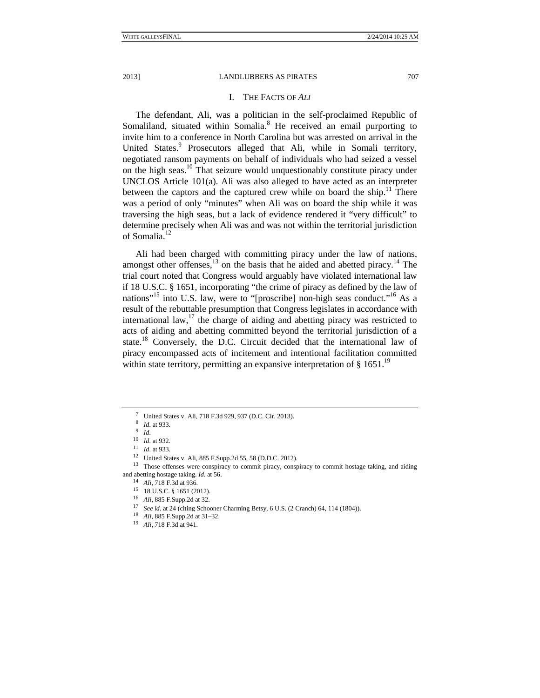#### I. THE FACTS OF *ALI*

The defendant, Ali, was a politician in the self-proclaimed Republic of Somaliland, situated within Somalia.<sup>8</sup> He received an email purporting to invite him to a conference in North Carolina but was arrested on arrival in the United States.<sup>9</sup> Prosecutors alleged that Ali, while in Somali territory, negotiated ransom payments on behalf of individuals who had seized a vessel on the high seas.10 That seizure would unquestionably constitute piracy under UNCLOS Article 101(a). Ali was also alleged to have acted as an interpreter between the captors and the captured crew while on board the ship.<sup>11</sup> There was a period of only "minutes" when Ali was on board the ship while it was traversing the high seas, but a lack of evidence rendered it "very difficult" to determine precisely when Ali was and was not within the territorial jurisdiction of Somalia.12

Ali had been charged with committing piracy under the law of nations, amongst other offenses,  $^{13}$  on the basis that he aided and abetted piracy.<sup>14</sup> The trial court noted that Congress would arguably have violated international law if 18 U.S.C. § 1651, incorporating "the crime of piracy as defined by the law of nations"<sup>15</sup> into U.S. law, were to "[proscribe] non-high seas conduct."<sup>16</sup> As a result of the rebuttable presumption that Congress legislates in accordance with international law, $^{17}$  the charge of aiding and abetting piracy was restricted to acts of aiding and abetting committed beyond the territorial jurisdiction of a state.<sup>18</sup> Conversely, the D.C. Circuit decided that the international law of piracy encompassed acts of incitement and intentional facilitation committed within state territory, permitting an expansive interpretation of  $\S$  1651.<sup>19</sup>

<sup>7</sup> United States v. Ali, 718 F.3d 929, 937 (D.C. Cir. 2013).

<sup>8</sup> *Id.* at 933. 9 *Id.*

<sup>10</sup> *Id.* at 932. 11 *Id.* at 933. 12 United States v. Ali, 885 F.Supp.2d 55, 58 (D.D.C. 2012).

<sup>&</sup>lt;sup>13</sup> Those offenses were conspiracy to commit piracy, conspiracy to commit hostage taking, and aiding and abetting hostage taking. *Id.* at 56.<br><sup>14</sup> *Ali*, 718 F.3d at 936.<br><sup>15</sup> 18 U.S.C. § 1651 (2012).<br><sup>16</sup> *Ali*, 885 F.Supp.2d at 32.

<sup>16</sup> *Ali*, 885 F.Supp.2d at 32. 17 *See id.* at 24 (citing Schooner Charming Betsy, 6 U.S. (2 Cranch) 64, 114 (1804)). 18 *Ali*, 885 F.Supp.2d at 31–32. 19 *Ali,* 718 F.3d at 941.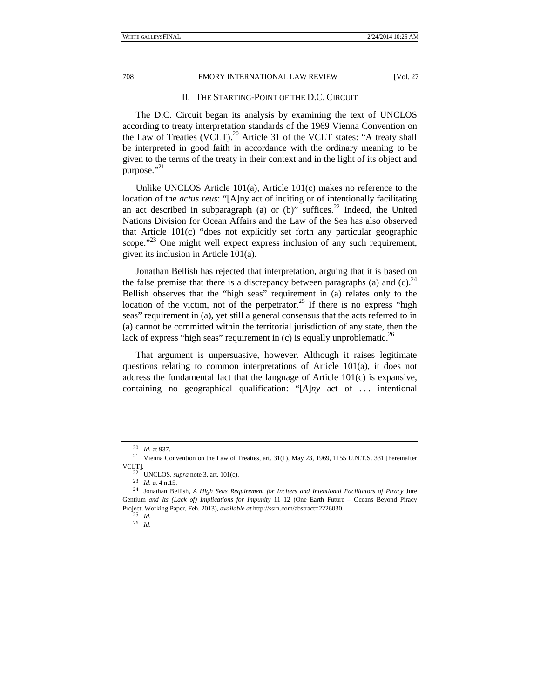#### II. THE STARTING-POINT OF THE D.C. CIRCUIT

The D.C. Circuit began its analysis by examining the text of UNCLOS according to treaty interpretation standards of the 1969 Vienna Convention on the Law of Treaties (VCLT).<sup>20</sup> Article 31 of the VCLT states: "A treaty shall be interpreted in good faith in accordance with the ordinary meaning to be given to the terms of the treaty in their context and in the light of its object and purpose." $^{21}$ 

Unlike UNCLOS Article 101(a), Article 101(c) makes no reference to the location of the *actus reus*: "[A]ny act of inciting or of intentionally facilitating an act described in subparagraph (a) or  $(b)$ " suffices.<sup>22</sup> Indeed, the United Nations Division for Ocean Affairs and the Law of the Sea has also observed that Article 101(c) "does not explicitly set forth any particular geographic scope."<sup>23</sup> One might well expect express inclusion of any such requirement, given its inclusion in Article 101(a).

Jonathan Bellish has rejected that interpretation, arguing that it is based on the false premise that there is a discrepancy between paragraphs (a) and (c).<sup>24</sup> Bellish observes that the "high seas" requirement in (a) relates only to the location of the victim, not of the perpetrator.<sup>25</sup> If there is no express "high seas" requirement in (a), yet still a general consensus that the acts referred to in (a) cannot be committed within the territorial jurisdiction of any state, then the lack of express "high seas" requirement in (c) is equally unproblematic.<sup>26</sup>

That argument is unpersuasive, however. Although it raises legitimate questions relating to common interpretations of Article 101(a), it does not address the fundamental fact that the language of Article 101(c) is expansive, containing no geographical qualification: "[*A*]*ny* act of . . . intentional

<sup>20</sup> *Id.* at 937. 21 Vienna Convention on the Law of Treaties, art. 31(1), May 23, 1969, 1155 U.N.T.S. 331 [hereinafter VCLT]. 22 UNCLOS, *supra* note 3, art. 101(c). 23 *Id.* at 4 n.15. 24 Jonathan Bellish, *A High Seas Requirement for Inciters and Intentional Facilitators of Piracy* Jure

Gentium *and Its (Lack of) Implications for Impunity* 11–12 (One Earth Future – Oceans Beyond Piracy Project, Working Paper, Feb. 2013), *available at* http://ssrn.com/abstract=2226030. 25 *Id.* 

<sup>26</sup> *Id.*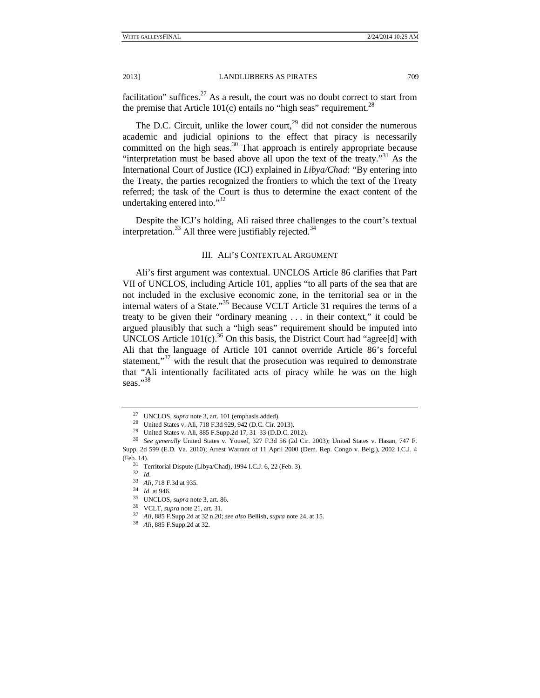facilitation" suffices. $27$  As a result, the court was no doubt correct to start from the premise that Article 101(c) entails no "high seas" requirement.<sup>28</sup>

The D.C. Circuit, unlike the lower court,<sup>29</sup> did not consider the numerous academic and judicial opinions to the effect that piracy is necessarily committed on the high seas. $30$  That approach is entirely appropriate because "interpretation must be based above all upon the text of the treaty."<sup>31</sup> As the International Court of Justice (ICJ) explained in *Libya/Chad*: "By entering into the Treaty, the parties recognized the frontiers to which the text of the Treaty referred; the task of the Court is thus to determine the exact content of the undertaking entered into."32

Despite the ICJ's holding, Ali raised three challenges to the court's textual interpretation. $^{33}$  All three were justifiably rejected. $^{34}$ 

#### III. ALI'S CONTEXTUAL ARGUMENT

Ali's first argument was contextual. UNCLOS Article 86 clarifies that Part VII of UNCLOS, including Article 101, applies "to all parts of the sea that are not included in the exclusive economic zone, in the territorial sea or in the internal waters of a State."35 Because VCLT Article 31 requires the terms of a treaty to be given their "ordinary meaning . . . in their context," it could be argued plausibly that such a "high seas" requirement should be imputed into UNCLOS Article  $101(c)$ .<sup>36</sup> On this basis, the District Court had "agree[d] with Ali that the language of Article 101 cannot override Article 86's forceful statement," $37$  with the result that the prosecution was required to demonstrate that "Ali intentionally facilitated acts of piracy while he was on the high seas."38

<sup>27</sup> UNCLOS, *supra* note 3, art. 101 (emphasis added). 28 United States v. Ali, 718 F.3d 929, 942 (D.C. Cir. 2013).

<sup>29</sup> United States v. Ali, 885 F.Supp.2d 17, 31–33 (D.D.C. 2012).

<sup>30</sup> *See generally* United States v. Yousef, 327 F.3d 56 (2d Cir. 2003); United States v. Hasan, 747 F. Supp. 2d 599 (E.D. Va. 2010); Arrest Warrant of 11 April 2000 (Dem. Rep. Congo v. Belg.), 2002 I.C.J. 4

<sup>(</sup>Feb. 14). 31 Territorial Dispute (Libya/Chad), 1994 I.C.J. 6, 22 (Feb. 3).

<sup>32</sup> *Id.*

<sup>&</sup>lt;sup>34</sup> *Id.* at 946.<br><sup>35</sup> UNCLOS, *supra* note 3, art. 86.<br><sup>36</sup> VCLT, *supra* note 21, art. 31.<br><sup>37</sup> *Ali*, 885 F.Supp.2d at 32 n.20; *see also* Bellish, *supra* note 24, at 15.<br><sup>38</sup> *Ali*, 885 F.Supp.2d at 32.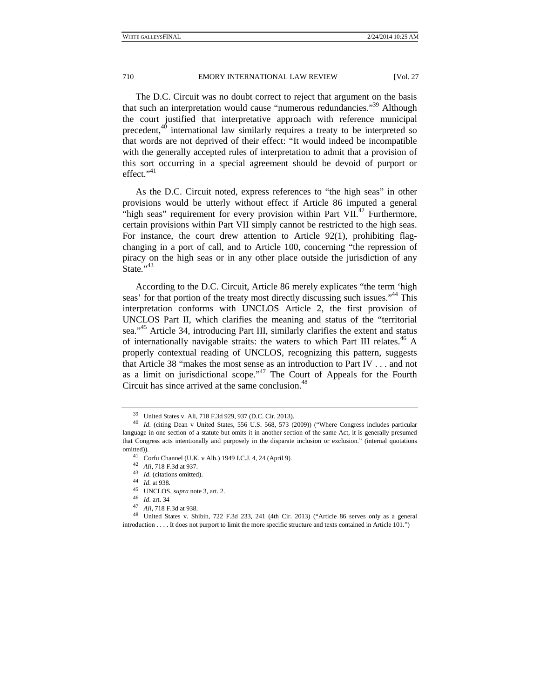The D.C. Circuit was no doubt correct to reject that argument on the basis that such an interpretation would cause "numerous redundancies."39 Although the court justified that interpretative approach with reference municipal precedent, $4^{0}$  international law similarly requires a treaty to be interpreted so that words are not deprived of their effect: "It would indeed be incompatible with the generally accepted rules of interpretation to admit that a provision of this sort occurring in a special agreement should be devoid of purport or effect."<sup>41</sup>

As the D.C. Circuit noted, express references to "the high seas" in other provisions would be utterly without effect if Article 86 imputed a general "high seas" requirement for every provision within Part VII. $^{42}$  Furthermore, certain provisions within Part VII simply cannot be restricted to the high seas. For instance, the court drew attention to Article 92(1), prohibiting flagchanging in a port of call, and to Article 100, concerning "the repression of piracy on the high seas or in any other place outside the jurisdiction of any State."<sup>43</sup>

According to the D.C. Circuit, Article 86 merely explicates "the term 'high seas' for that portion of the treaty most directly discussing such issues."<sup>44</sup> This interpretation conforms with UNCLOS Article 2, the first provision of UNCLOS Part II, which clarifies the meaning and status of the "territorial sea."<sup>45</sup> Article 34, introducing Part III, similarly clarifies the extent and status of internationally navigable straits: the waters to which Part III relates.<sup>46</sup> A properly contextual reading of UNCLOS, recognizing this pattern, suggests that Article 38 "makes the most sense as an introduction to Part IV . . . and not as a limit on jurisdictional scope."<sup>47</sup> The Court of Appeals for the Fourth Circuit has since arrived at the same conclusion. $48$ 

<sup>39</sup> United States v. Ali, 718 F.3d 929, 937 (D.C. Cir. 2013).

<sup>40</sup> *Id.* (citing Dean v United States, 556 U.S. 568, 573 (2009)) ("Where Congress includes particular language in one section of a statute but omits it in another section of the same Act, it is generally presumed that Congress acts intentionally and purposely in the disparate inclusion or exclusion." (internal quotations

omitted)).<br>
<sup>41</sup> Corfu Channel (U.K. v Alb.) 1949 I.C.J. 4, 24 (April 9).<br>
<sup>42</sup> Ali, 718 F.3d at 937.<br>
<sup>43</sup> Id. (citations omitted).<br>
<sup>44</sup> Id. at 938.<br>
<sup>45</sup> UNCLOS, *supra* note 3, art. 2.<br>
<sup>46</sup> Id. art. 34<br>
<sup>47</sup> Ali, 718 introduction . . . . It does not purport to limit the more specific structure and texts contained in Article 101.")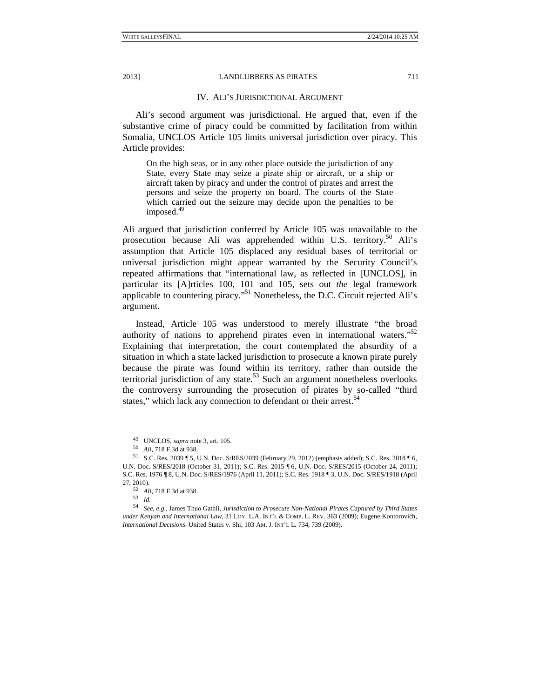#### IV. ALI'S JURISDICTIONAL ARGUMENT

Ali's second argument was jurisdictional. He argued that, even if the substantive crime of piracy could be committed by facilitation from within Somalia, UNCLOS Article 105 limits universal jurisdiction over piracy. This Article provides:

On the high seas, or in any other place outside the jurisdiction of any State, every State may seize a pirate ship or aircraft, or a ship or aircraft taken by piracy and under the control of pirates and arrest the persons and seize the property on board. The courts of the State which carried out the seizure may decide upon the penalties to be imposed.<sup>49</sup>

Ali argued that jurisdiction conferred by Article 105 was unavailable to the prosecution because Ali was apprehended within U.S. territory.<sup>50</sup> Ali's assumption that Article 105 displaced any residual bases of territorial or universal jurisdiction might appear warranted by the Security Council's repeated affirmations that "international law, as reflected in [UNCLOS], in particular its [A]rticles 100, 101 and 105, sets out *the* legal framework applicable to countering piracy."51 Nonetheless, the D.C. Circuit rejected Ali's argument.

Instead, Article 105 was understood to merely illustrate "the broad authority of nations to apprehend pirates even in international waters."<sup>52</sup> Explaining that interpretation, the court contemplated the absurdity of a situation in which a state lacked jurisdiction to prosecute a known pirate purely because the pirate was found within its territory, rather than outside the territorial jurisdiction of any state.<sup>53</sup> Such an argument nonetheless overlooks the controversy surrounding the prosecution of pirates by so-called "third states," which lack any connection to defendant or their arrest.<sup>54</sup>

<sup>49</sup> UNCLOS, *supra* note 3, art. 105. 50 *Ali*, 718 F.3d at 938. 51 S.C. Res. 2039 ¶ 5, U.N. Doc. S/RES/2039 (February 29, 2012) (emphasis added); S.C. Res. 2018 ¶ 6, U.N. Doc. S/RES/2018 (October 31, 2011); S.C. Res. 2015 ¶ 6, U.N. Doc. S/RES/2015 (October 24, 2011); S.C. Res. 1976 ¶ 8, U.N. Doc. S/RES/1976 (April 11, 2011); S.C. Res. 1918 ¶ 3, U.N. Doc. S/RES/1918 (April 27, 2010). 52 *Ali*, 718 F.3d at 938. 53 *Id.*

<sup>54</sup> *See, e.g.*, James Thuo Gathii, *Jurisdiction to Prosecute Non-National Pirates Captured by Third States under Kenyan and International Law*, 31 LOY. L.A. INT'L & COMP. L. REV. 363 (2009); Eugene Kontorovich, *International Decisions*–United States v. Shi*,* 103 AM. J. INT'L L. 734*,* 739 (2009).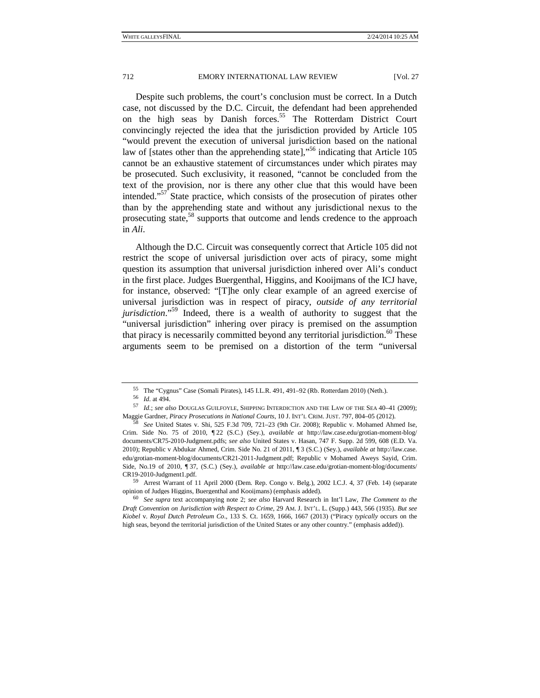Despite such problems, the court's conclusion must be correct. In a Dutch case, not discussed by the D.C. Circuit, the defendant had been apprehended on the high seas by Danish forces.<sup>55</sup> The Rotterdam District Court convincingly rejected the idea that the jurisdiction provided by Article 105 "would prevent the execution of universal jurisdiction based on the national law of [states other than the apprehending state],<sup>"56</sup> indicating that Article 105 cannot be an exhaustive statement of circumstances under which pirates may be prosecuted. Such exclusivity, it reasoned, "cannot be concluded from the text of the provision, nor is there any other clue that this would have been intended."<sup>57</sup> State practice, which consists of the prosecution of pirates other than by the apprehending state and without any jurisdictional nexus to the prosecuting state,<sup>58</sup> supports that outcome and lends credence to the approach in *Ali*.

Although the D.C. Circuit was consequently correct that Article 105 did not restrict the scope of universal jurisdiction over acts of piracy, some might question its assumption that universal jurisdiction inhered over Ali's conduct in the first place. Judges Buergenthal, Higgins, and Kooijmans of the ICJ have, for instance, observed: "[T]he only clear example of an agreed exercise of universal jurisdiction was in respect of piracy, *outside of any territorial jurisdiction*."59 Indeed, there is a wealth of authority to suggest that the "universal jurisdiction" inhering over piracy is premised on the assumption that piracy is necessarily committed beyond any territorial jurisdiction.<sup>60</sup> These arguments seem to be premised on a distortion of the term "universal

<sup>55</sup> The "Cygnus" Case (Somali Pirates), 145 I.L.R. 491, 491–92 (Rb. Rotterdam 2010) (Neth.).<br>56  $Id.$  at 494.

<sup>57</sup> *Id.: see also* DOUGLAS GUILFOYLE, SHIPPING INTERDICTION AND THE LAW OF THE SEA 40-41 (2009); Maggie Gardner, *Piracy Prosecutions in National Courts*, 10 J. INT'L CRIM. JUST. 797, 804–05 (2012). 58 *See* United States v. Shi, 525 F.3d 709, 721–23 (9th Cir. 2008); Republic v. Mohamed Ahmed Ise,

Crim. Side No. 75 of 2010, ¶ 22 (S.C.) (Sey.), *available at* http://law.case.edu/grotian-moment-blog/ documents/CR75-2010-Judgment.pdfs; *see also* United States v. Hasan, 747 F. Supp. 2d 599, 608 (E.D. Va. 2010); Republic v Abdukar Ahmed*,* Crim. Side No. 21 of 2011, ¶ 3 (S.C.) (Sey.), *available at* http://law.case. edu/grotian-moment-blog/documents/CR21-2011-Judgment.pdf; Republic v Mohamed Aweys Sayid, Crim. Side, No.19 of 2010, ¶ 37, (S.C.) (Sey.), *available at* http://law.case.edu/grotian-moment-blog/documents/ CR19-2010-Judgment1.pdf. 59 Arrest Warrant of 11 April 2000 (Dem. Rep. Congo v. Belg.), 2002 I.C.J. 4, 37 (Feb. 14) (separate

opinion of Judges Higgins, Buergenthal and Kooijmans) (emphasis added).

<sup>60</sup> *See supra* text accompanying note 2; *see also* Harvard Research in Int'l Law, *The Comment to the Draft Convention on Jurisdiction with Respect to Crime*, 29 AM. J. INT'L. L. (Supp.) 443, 566 (1935). *But see Kiobel* v. *Royal Dutch Petroleum Co*., 133 S. Ct. 1659, 1666, 1667 (2013) ("Piracy *typically* occurs on the high seas, beyond the territorial jurisdiction of the United States or any other country." (emphasis added)).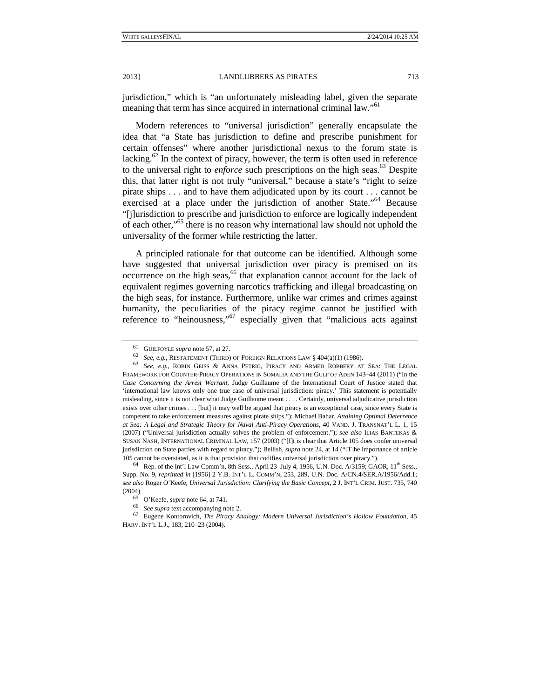jurisdiction," which is "an unfortunately misleading label, given the separate meaning that term has since acquired in international criminal law."<sup>61</sup>

Modern references to "universal jurisdiction" generally encapsulate the idea that "a State has jurisdiction to define and prescribe punishment for certain offenses" where another jurisdictional nexus to the forum state is lacking.<sup>62</sup> In the context of piracy, however, the term is often used in reference to the universal right to *enforce* such prescriptions on the high seas.<sup>63</sup> Despite this, that latter right is not truly "universal," because a state's "right to seize pirate ships . . . and to have them adjudicated upon by its court . . . cannot be exercised at a place under the jurisdiction of another State."<sup>64</sup> Because "[j]urisdiction to prescribe and jurisdiction to enforce are logically independent of each other,"65 there is no reason why international law should not uphold the universality of the former while restricting the latter.

A principled rationale for that outcome can be identified. Although some have suggested that universal jurisdiction over piracy is premised on its occurrence on the high seas,<sup>66</sup> that explanation cannot account for the lack of equivalent regimes governing narcotics trafficking and illegal broadcasting on the high seas, for instance. Furthermore, unlike war crimes and crimes against humanity, the peculiarities of the piracy regime cannot be justified with reference to "heinousness,"67 especially given that "malicious acts against

<sup>61</sup> GUILFOYLE *supra* note 57, at 27.<br><sup>62</sup> *See, e.g.*, RESTATEMENT (THIRD) OF FOREIGN RELATIONS LAW § 404(a)(1) (1986).<br><sup>63</sup> *See, e.g.*, ROBIN GEISS & ANNA PETRIG, PIRACY AND ARMED ROBBERY AT SEA: THE LEGAL FRAMEWORK FOR COUNTER-PIRACY OPERATIONS IN SOMALIA AND THE GULF OF ADEN 143-44 (2011) ("In the  $-44$  (2011) ("In the<br>Justice stated that<br>ment is potentially<br>dicative jurisdiction<br>since every State is *Case Concerning the Arrest Warrant*, Judge Guillaume of the International Court of Justice stated that 'international law knows only one true case of universal jurisdiction: piracy.' This statement is potentially misleading, since it is not clear what Judge Guillaume meant . . . . Certainly, universal adjudicative jurisdiction exists over other crimes . . . [but] it may well be argued that piracy is an exceptional case, since every State is competent to take enforcement measures against pirate ships."); Michael Bahar, *Attaining Optimal Deterrence at Sea: A Legal and Strategic Theory for Naval Anti-Piracy Operations*, 40 VAND. J. TRANSNAT'L L. 1, 15 (2007) ("Universal jurisdiction actually solves the problem of enforcement."); *see also* ILIAS BANTEKAS & SUSAN NASH, INTERNATIONAL CRIMINAL LAW, 157 (2003) ("[I]t is clear that Article 105 does confer universal jurisdiction on State parties with regard to piracy."); Bellish*, supra* note 24, at 14 ("[T]he importance of article 105 cannot be overstated, as it is that provision that codifies universal jurisdiction over piracy.").<br><sup>64</sup> Rep. of the Int'l Law Comm'n, 8th Sess., April 23–July 4, 1956, U.N. Doc. A/3159; GAOR, 11<sup>th</sup> Sess.,

Supp. No. 9, *reprinted in* [1956] 2 Y.B. INT'L L. COMM'N, 253, 289, U.N. Doc. A/CN.4/SER.A/1956/Add.1; s*ee also* Roger O'Keefe, *Universal Jurisdiction: Clarifying the Basic Concept*, 2 J. INT'L CRIM. JUST. 735, 740

<sup>(2004). 65</sup> O'Keefe, *supra* note 64, at 741. 66 *See supra* text accompanying note 2. 67 Eugene Kontorovich, *The Piracy Analogy: Modern Universal Jurisdiction's Hollow Foundation,*<sup>45</sup> HARV. INT'L L.J., 183, 210–23 (2004).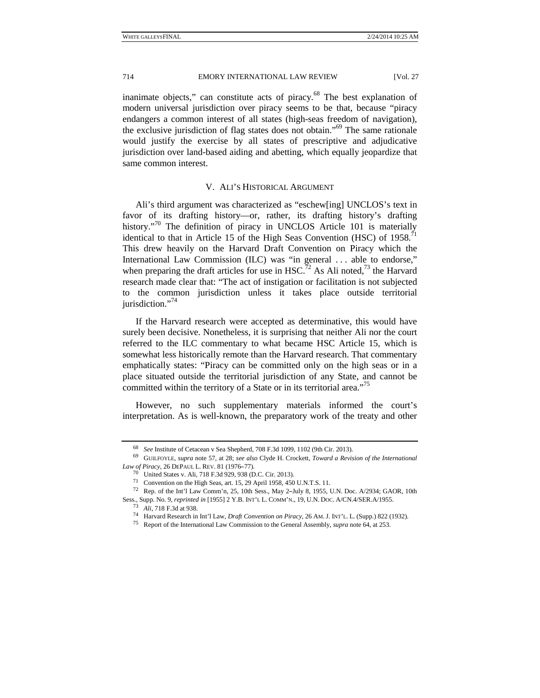inanimate objects," can constitute acts of piracy.<sup>68</sup> The best explanation of modern universal jurisdiction over piracy seems to be that, because "piracy endangers a common interest of all states (high-seas freedom of navigation), the exclusive jurisdiction of flag states does not obtain."69 The same rationale would justify the exercise by all states of prescriptive and adjudicative jurisdiction over land-based aiding and abetting, which equally jeopardize that same common interest.

### V. ALI'S HISTORICAL ARGUMENT

Ali's third argument was characterized as "eschew[ing] UNCLOS's text in favor of its drafting history—or, rather, its drafting history's drafting history.<sup>"70</sup> The definition of piracy in UNCLOS Article 101 is materially identical to that in Article 15 of the High Seas Convention (HSC) of  $1958$ <sup>71</sup> This drew heavily on the Harvard Draft Convention on Piracy which the International Law Commission (ILC) was "in general . . . able to endorse," when preparing the draft articles for use in HSC.<sup>72</sup> As Ali noted,<sup>73</sup> the Harvard research made clear that: "The act of instigation or facilitation is not subjected to the common jurisdiction unless it takes place outside territorial jurisdiction."<sup>74</sup>

If the Harvard research were accepted as determinative, this would have surely been decisive. Nonetheless, it is surprising that neither Ali nor the court referred to the ILC commentary to what became HSC Article 15, which is somewhat less historically remote than the Harvard research. That commentary emphatically states: "Piracy can be committed only on the high seas or in a place situated outside the territorial jurisdiction of any State, and cannot be committed within the territory of a State or in its territorial area."<sup>75</sup>

However, no such supplementary materials informed the court's interpretation. As is well-known, the preparatory work of the treaty and other

<sup>68</sup> *See* Institute of Cetacean v Sea Shepherd*,* 708 F.3d 1099, 1102 (9th Cir. 2013). 69 GUILFOYLE, *supra* note 57, at 28; *see also* Clyde H. Crockett, *Toward a Revision of the International Law of Piracy*, 26 DEPAUL L. REV. 81 (1976–77).<br><sup>70</sup> United States v. Ali, 718 F.3d 929, 938 (D.C. Cir. 2013).

<sup>&</sup>lt;sup>71</sup> Convention on the High Seas, art. 15, 29 April 1958, 450 U.N.T.S. 11.

*r of Piracy*, 26 DEPAUL L. REV. 81 (1976–77).<br><sup>70</sup> United States v. Ali, 718 F.3d 929, 938 (D.C. Cir. 2013).<br><sup>71</sup> Convention on the High Seas, art. 15, 29 April 1958, 450<br><sup>72</sup> Rep. of the Int'l Law Comm'n, 25, 10th Sess. <sup>72</sup> Rep. of the Int'l Law Comm'n, 25, 10th Sess., May 2-July 8, 1955, U.N. Doc. A/2934; GAOR, 10th <sup>12</sup> Rep. of the Int'l Law Comm'n, 25, 10th Sess., May 2-July 8, 1955, U.N. Doc. A/2934; GAOR, 10th Sess., Supp. No. 9, *reprinted in* [1955] 2 Y.B. INT'L L. COMM'N., 19, U.N. Doc. A/CN.4/SER.A/1955.<br><sup>73</sup> Ali, 718 F.3d at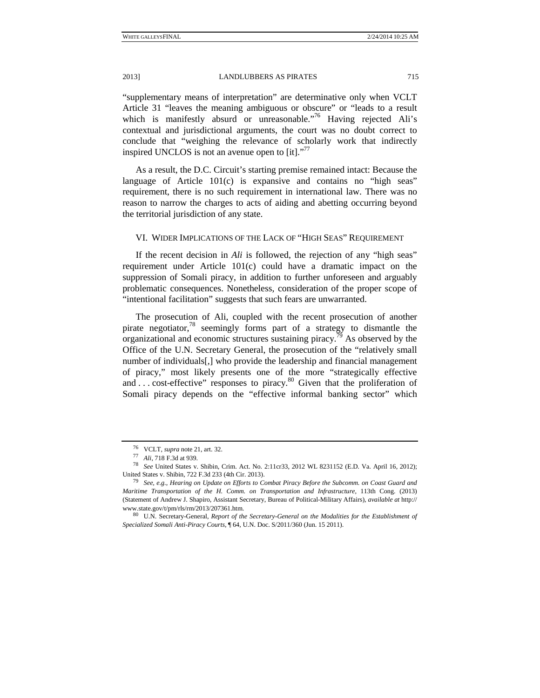"supplementary means of interpretation" are determinative only when VCLT Article 31 "leaves the meaning ambiguous or obscure" or "leads to a result which is manifestly absurd or unreasonable."<sup>76</sup> Having rejected Ali's contextual and jurisdictional arguments, the court was no doubt correct to conclude that "weighing the relevance of scholarly work that indirectly inspired UNCLOS is not an avenue open to  $\left[{\rm it}\right]$ ."<sup>77</sup>

As a result, the D.C. Circuit's starting premise remained intact: Because the language of Article 101(c) is expansive and contains no "high seas" requirement, there is no such requirement in international law. There was no reason to narrow the charges to acts of aiding and abetting occurring beyond the territorial jurisdiction of any state.

#### VI. WIDER IMPLICATIONS OF THE LACK OF "HIGH SEAS" REQUIREMENT

If the recent decision in *Ali* is followed, the rejection of any "high seas" requirement under Article 101(c) could have a dramatic impact on the suppression of Somali piracy, in addition to further unforeseen and arguably problematic consequences. Nonetheless, consideration of the proper scope of "intentional facilitation" suggests that such fears are unwarranted.

The prosecution of Ali, coupled with the recent prosecution of another pirate negotiator,78 seemingly forms part of a strategy to dismantle the organizational and economic structures sustaining piracy.<sup>79</sup> As observed by the Office of the U.N. Secretary General, the prosecution of the "relatively small number of individuals[,] who provide the leadership and financial management of piracy," most likely presents one of the more "strategically effective and . . . cost-effective" responses to piracy.80 Given that the proliferation of Somali piracy depends on the "effective informal banking sector" which

<sup>76</sup> VCLT, *supra* note 21, art. 32. 77 *Ali*, 718 F.3d at 939. 78 *See* United States v. Shibin, Crim. Act. No. 2:11cr33, 2012 WL 8231152 (E.D. Va. April 16, 2012); United States v. Shibin*,* 722 F.3d 233 (4th Cir. 2013). 79 *See, e.g.*, *Hearing on Update on Efforts to Combat Piracy Before the Subcomm. on Coast Guard and* 

*Maritime Transportation of the H. Comm. on Transportation and Infrastructure*, 113th Cong. (2013) (Statement of Andrew J. Shapiro, Assistant Secretary, Bureau of Political-Military Affairs), *available at* http:// www.state.gov/t/pm/rls/rm/2013/207361.htm.<br><sup>80</sup> U.N. Secretary-General, *Report of the Secretary-General on the Modalities for the Establishment of* 

*Specialized Somali Anti-Piracy Courts,* ¶ 64, U.N. Doc. S/2011/360 (Jun. 15 2011).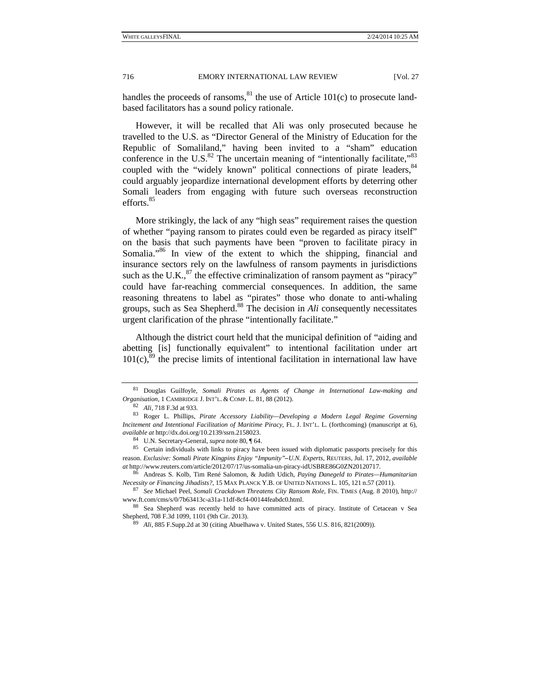handles the proceeds of ransoms,  $81$  the use of Article 101(c) to prosecute landbased facilitators has a sound policy rationale.

However, it will be recalled that Ali was only prosecuted because he travelled to the U.S. as "Director General of the Ministry of Education for the Republic of Somaliland," having been invited to a "sham" education conference in the U.S. $^{82}$  The uncertain meaning of "intentionally facilitate,"  $^{83}$ coupled with the "widely known" political connections of pirate leaders, <sup>84</sup> could arguably jeopardize international development efforts by deterring other Somali leaders from engaging with future such overseas reconstruction efforts.<sup>85</sup>

More strikingly, the lack of any "high seas" requirement raises the question of whether "paying ransom to pirates could even be regarded as piracy itself" on the basis that such payments have been "proven to facilitate piracy in Somalia."<sup>86</sup> In view of the extent to which the shipping, financial and insurance sectors rely on the lawfulness of ransom payments in jurisdictions such as the U.K.,  $87$  the effective criminalization of ransom payment as "piracy" could have far-reaching commercial consequences. In addition, the same reasoning threatens to label as "pirates" those who donate to anti-whaling groups, such as Sea Shepherd.<sup>88</sup> The decision in *Ali* consequently necessitates urgent clarification of the phrase "intentionally facilitate."

Although the district court held that the municipal definition of "aiding and abetting [is] functionally equivalent" to intentional facilitation under art  $101(c)$ ,  $\frac{89}{c}$  the precise limits of intentional facilitation in international law have

<sup>81</sup> Douglas Guilfoyle, *Somali Pirates as Agents of Change in International Law-making and Organisation,* <sup>1</sup> CAMBRIDGE J. INT'L. & COMP. L. 81, 88 (2012). 82 *Ali,* 718 F.3d at 933. 83 Roger L. Phillips, *Pirate Accessory Liability—Developing a Modern Legal Regime Governing* 

*Incitement and Intentional Facilitation of Maritime Piracy,* FL. J. INT'L. L. (forthcoming) (manuscript at 6), *available at http://dx.doi.org/10.2139/ssrn.2158023.*<br><sup>84</sup> U.N. Secretary-General, *supra* note 80, ¶ 64.<br><sup>85</sup> Certain individuals with links to piracy have been issued with diplomatic passports precisely for this

reason. *Exclusive: Somali Pirate Kingpins Enjoy "Impunity"*U.N. Experts, REUTERS, Jul. 17, 2012, *available* biracy-idUSBRE86G0ZN20120717.<br>
ich, *Paying Danegeld to Pirates—Humanitarian*<br>
UNITED NATIONS L. 105, 121 n.57 (2011).<br>
V Ransom Role, FIN. TIMES (Aug. 8 2010), http://<br>
0. *at* http://www.reuters.com/article/2012/07/17/us-somalia-un-piracy-idUSBRE86G0ZN20120717.

<sup>86</sup> Andreas S. Kolb, Tim René Salomon, & Judith Udich, *Paying Danegeld to Pirates—Humanitarian Necessity or Financing Jihadists?*, 15 MAX PLANCK Y.B. OF UNITED NATIONS L. 105, <sup>121</sup> n.57 (2011). 87 *See* Michael Peel, *Somali Crackdown Threatens City Ransom Role,* FIN. TIMES (Aug. 8 2010), http://

www.ft.com/cms/s/0/7b63413c-a31a-11df-8cf4-00144feabdc0.html. 88 Sea Shepherd was recently held to have committed acts of piracy. Institute of Cetacean v Sea

Shepherd*,* 708 F.3d 1099, 1101 (9th Cir. 2013). 89 *Ali*, 885 F.Supp.2d at 30 (citing Abuelhawa v. United States*,* 556 U.S. 816, 821(2009)).